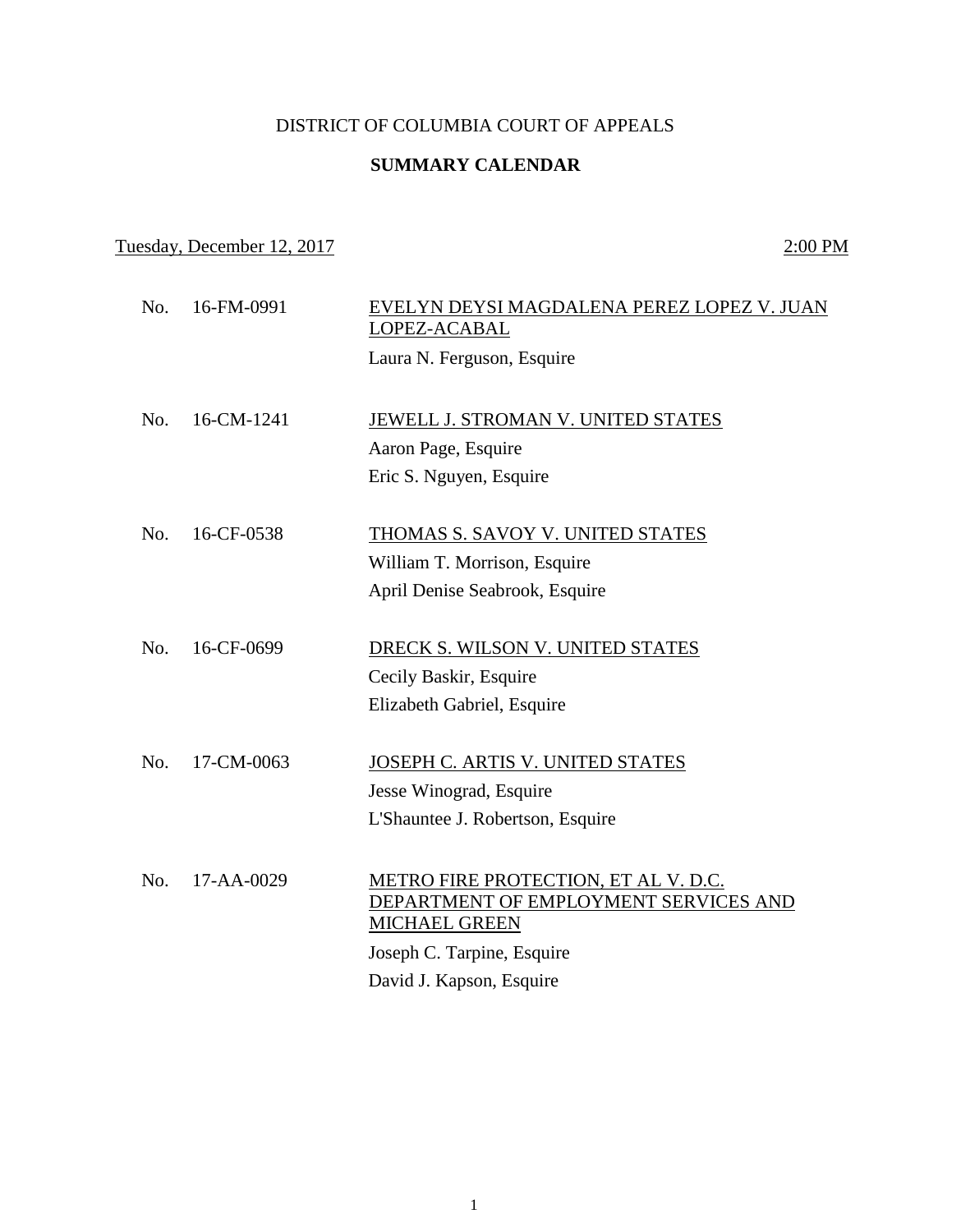## DISTRICT OF COLUMBIA COURT OF APPEALS

## **SUMMARY CALENDAR**

Tuesday, December 12, 2017 2:00 PM

No. 16-FM-0991 EVELYN DEYSI MAGDALENA PEREZ LOPEZ V. JUAN LOPEZ-ACABAL Laura N. Ferguson, Esquire No. 16-CM-1241 **JEWELL J. STROMAN V. UNITED STATES** Aaron Page, Esquire Eric S. Nguyen, Esquire No. 16-CF-0538 THOMAS S. SAVOY V. UNITED STATES William T. Morrison, Esquire April Denise Seabrook, Esquire No. 16-CF-0699 DRECK S. WILSON V. UNITED STATES Cecily Baskir, Esquire Elizabeth Gabriel, Esquire No. 17-CM-0063 JOSEPH C. ARTIS V. UNITED STATES Jesse Winograd, Esquire L'Shauntee J. Robertson, Esquire No. 17-AA-0029 METRO FIRE PROTECTION, ET AL V. D.C. DEPARTMENT OF EMPLOYMENT SERVICES AND MICHAEL GREEN Joseph C. Tarpine, Esquire David J. Kapson, Esquire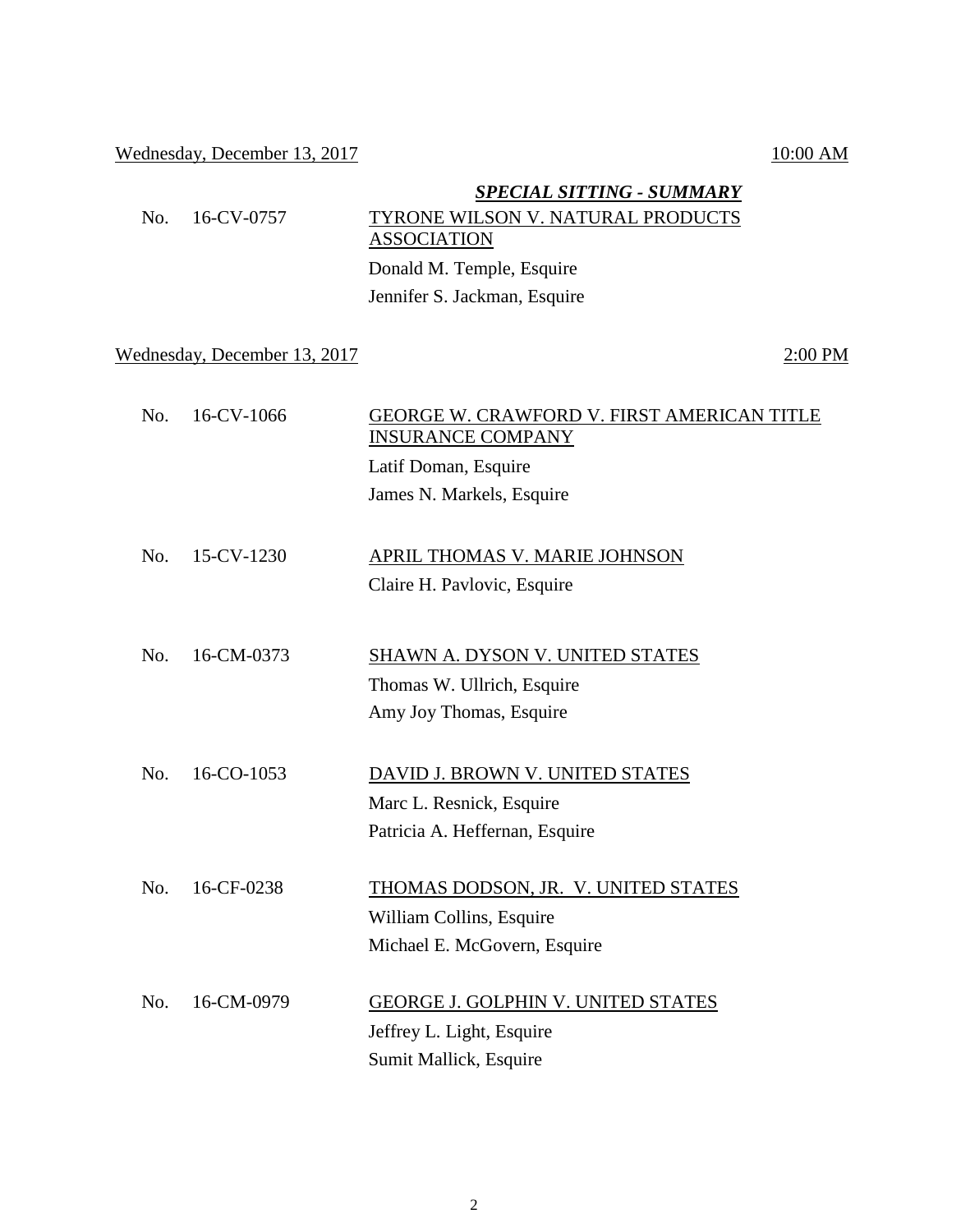## Wednesday, December 13, 2017 10:00 AM

|     |                              | <b>SPECIAL SITTING - SUMMARY</b>                                              |
|-----|------------------------------|-------------------------------------------------------------------------------|
| No. | 16-CV-0757                   | TYRONE WILSON V. NATURAL PRODUCTS                                             |
|     |                              | <b>ASSOCIATION</b>                                                            |
|     |                              | Donald M. Temple, Esquire                                                     |
|     |                              | Jennifer S. Jackman, Esquire                                                  |
|     | Wednesday, December 13, 2017 | 2:00 PM                                                                       |
| No. | 16-CV-1066                   | <b>GEORGE W. CRAWFORD V. FIRST AMERICAN TITLE</b><br><b>INSURANCE COMPANY</b> |
|     |                              | Latif Doman, Esquire                                                          |
|     |                              | James N. Markels, Esquire                                                     |
| No. | 15-CV-1230                   | APRIL THOMAS V. MARIE JOHNSON                                                 |
|     |                              | Claire H. Pavlovic, Esquire                                                   |
| No. | 16-CM-0373                   | SHAWN A. DYSON V. UNITED STATES                                               |
|     |                              | Thomas W. Ullrich, Esquire                                                    |
|     |                              | Amy Joy Thomas, Esquire                                                       |
| No. | 16-CO-1053                   | DAVID J. BROWN V. UNITED STATES                                               |
|     |                              | Marc L. Resnick, Esquire                                                      |
|     |                              | Patricia A. Heffernan, Esquire                                                |
| No. | 16-CF-0238                   | THOMAS DODSON, JR. V. UNITED STATES                                           |
|     |                              | William Collins, Esquire                                                      |
|     |                              | Michael E. McGovern, Esquire                                                  |
| No. | 16-CM-0979                   | GEORGE J. GOLPHIN V. UNITED STATES                                            |
|     |                              | Jeffrey L. Light, Esquire                                                     |
|     |                              | Sumit Mallick, Esquire                                                        |